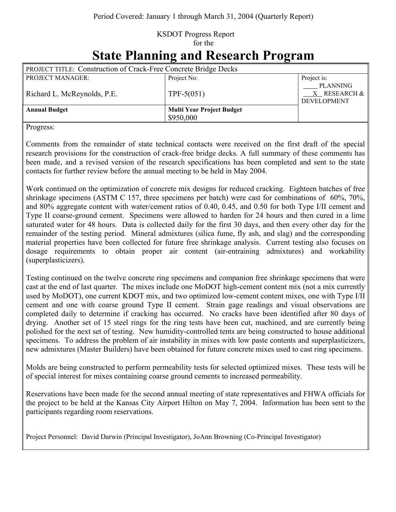## KSDOT Progress Report for the

| <b>State Planning and Research Program</b> |  |
|--------------------------------------------|--|
|--------------------------------------------|--|

| <b>PROJECT TITLE: Construction of Crack-Free Concrete Bridge Decks</b> |                                  |                                                       |  |
|------------------------------------------------------------------------|----------------------------------|-------------------------------------------------------|--|
| <b>PROJECT MANAGER:</b>                                                | Project No:                      | Project is:                                           |  |
| Richard L. McReynolds, P.E.                                            | $TPF-5(051)$                     | <b>PLANNING</b><br>X RESEARCH &<br><b>DEVELOPMENT</b> |  |
| <b>Annual Budget</b>                                                   | <b>Multi Year Project Budget</b> |                                                       |  |
|                                                                        | \$950,000                        |                                                       |  |

Progress:

Comments from the remainder of state technical contacts were received on the first draft of the special research provisions for the construction of crack-free bridge decks. A full summary of these comments has been made, and a revised version of the research specifications has been completed and sent to the state contacts for further review before the annual meeting to be held in May 2004.

Work continued on the optimization of concrete mix designs for reduced cracking. Eighteen batches of free shrinkage specimens (ASTM C 157, three specimens per batch) were cast for combinations of 60%, 70%, and 80% aggregate content with water/cement ratios of 0.40, 0.45, and 0.50 for both Type I/II cement and Type II coarse-ground cement. Specimens were allowed to harden for 24 hours and then cured in a lime saturated water for 48 hours. Data is collected daily for the first 30 days, and then every other day for the remainder of the testing period. Mineral admixtures (silica fume, fly ash, and slag) and the corresponding material properties have been collected for future free shrinkage analysis. Current testing also focuses on dosage requirements to obtain proper air content (air-entraining admixtures) and workability (superplasticizers).

Testing continued on the twelve concrete ring specimens and companion free shrinkage specimens that were cast at the end of last quarter. The mixes include one MoDOT high-cement content mix (not a mix currently used by MoDOT), one current KDOT mix, and two optimized low-cement content mixes, one with Type I/II cement and one with coarse ground Type II cement. Strain gage readings and visual observations are completed daily to determine if cracking has occurred. No cracks have been identified after 80 days of drying. Another set of 15 steel rings for the ring tests have been cut, machined, and are currently being polished for the next set of testing. New humidity-controlled tents are being constructed to house additional specimens. To address the problem of air instability in mixes with low paste contents and superplasticizers, new admixtures (Master Builders) have been obtained for future concrete mixes used to cast ring specimens.

Molds are being constructed to perform permeability tests for selected optimized mixes. These tests will be of special interest for mixes containing coarse ground cements to increased permeability.

Reservations have been made for the second annual meeting of state representatives and FHWA officials for the project to be held at the Kansas City Airport Hilton on May 7, 2004. Information has been sent to the participants regarding room reservations.

Project Personnel: David Darwin (Principal Investigator), JoAnn Browning (Co-Principal Investigator)